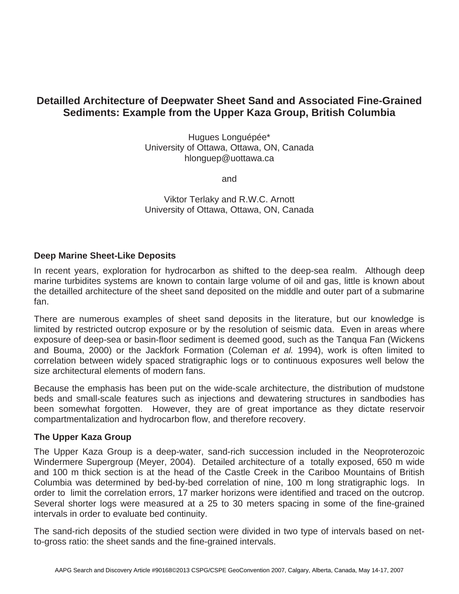# **Detailled Architecture of Deepwater Sheet Sand and Associated Fine-Grained Sediments: Example from the Upper Kaza Group, British Columbia**

Hugues Longuépée\* University of Ottawa, Ottawa, ON, Canada hlonguep@uottawa.ca

and

Viktor Terlaky and R.W.C. Arnott University of Ottawa, Ottawa, ON, Canada

# **Deep Marine Sheet-Like Deposits**

In recent years, exploration for hydrocarbon as shifted to the deep-sea realm. Although deep marine turbidites systems are known to contain large volume of oil and gas, little is known about the detailled architecture of the sheet sand deposited on the middle and outer part of a submarine fan.

There are numerous examples of sheet sand deposits in the literature, but our knowledge is limited by restricted outcrop exposure or by the resolution of seismic data. Even in areas where exposure of deep-sea or basin-floor sediment is deemed good, such as the Tanqua Fan (Wickens and Bouma, 2000) or the Jackfork Formation (Coleman *et al.* 1994), work is often limited to correlation between widely spaced stratigraphic logs or to continuous exposures well below the size architectural elements of modern fans.

Because the emphasis has been put on the wide-scale architecture, the distribution of mudstone beds and small-scale features such as injections and dewatering structures in sandbodies has been somewhat forgotten. However, they are of great importance as they dictate reservoir compartmentalization and hydrocarbon flow, and therefore recovery.

### **The Upper Kaza Group**

The Upper Kaza Group is a deep-water, sand-rich succession included in the Neoproterozoic Windermere Supergroup (Meyer, 2004). Detailed architecture of a totally exposed, 650 m wide and 100 m thick section is at the head of the Castle Creek in the Cariboo Mountains of British Columbia was determined by bed-by-bed correlation of nine, 100 m long stratigraphic logs. In order to limit the correlation errors, 17 marker horizons were identified and traced on the outcrop. Several shorter logs were measured at a 25 to 30 meters spacing in some of the fine-grained intervals in order to evaluate bed continuity.

The sand-rich deposits of the studied section were divided in two type of intervals based on netto-gross ratio: the sheet sands and the fine-grained intervals.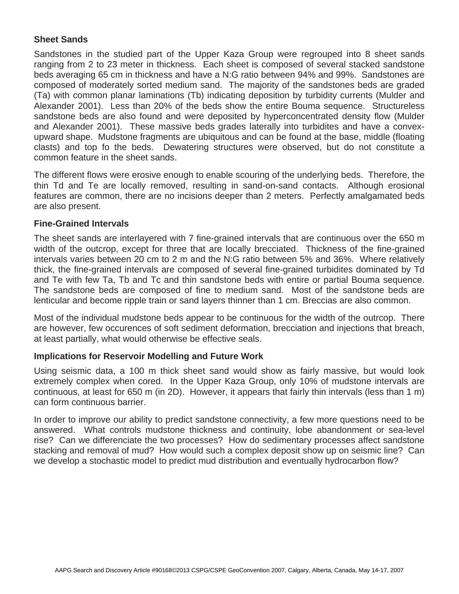# **Sheet Sands**

Sandstones in the studied part of the Upper Kaza Group were regrouped into 8 sheet sands ranging from 2 to 23 meter in thickness. Each sheet is composed of several stacked sandstone beds averaging 65 cm in thickness and have a N:G ratio between 94% and 99%. Sandstones are composed of moderately sorted medium sand. The majority of the sandstones beds are graded (Ta) with common planar laminations (Tb) indicating deposition by turbidity currents (Mulder and Alexander 2001). Less than 20% of the beds show the entire Bouma sequence. Structureless sandstone beds are also found and were deposited by hyperconcentrated density flow (Mulder and Alexander 2001). These massive beds grades laterally into turbidites and have a convexupward shape. Mudstone fragments are ubiquitous and can be found at the base, middle (floating clasts) and top fo the beds. Dewatering structures were observed, but do not constitute a common feature in the sheet sands.

The different flows were erosive enough to enable scouring of the underlying beds. Therefore, the thin Td and Te are locally removed, resulting in sand-on-sand contacts. Although erosional features are common, there are no incisions deeper than 2 meters. Perfectly amalgamated beds are also present.

### **Fine-Grained Intervals**

The sheet sands are interlayered with 7 fine-grained intervals that are continuous over the 650 m width of the outcrop, except for three that are locally brecciated. Thickness of the fine-grained intervals varies between 20 cm to 2 m and the N:G ratio between 5% and 36%. Where relatively thick, the fine-grained intervals are composed of several fine-grained turbidites dominated by Td and Te with few Ta, Tb and Tc and thin sandstone beds with entire or partial Bouma sequence. The sandstone beds are composed of fine to medium sand. Most of the sandstone beds are lenticular and become ripple train or sand layers thinner than 1 cm. Breccias are also common.

Most of the individual mudstone beds appear to be continuous for the width of the outrcop. There are however, few occurences of soft sediment deformation, brecciation and injections that breach, at least partially, what would otherwise be effective seals.

### **Implications for Reservoir Modelling and Future Work**

Using seismic data, a 100 m thick sheet sand would show as fairly massive, but would look extremely complex when cored. In the Upper Kaza Group, only 10% of mudstone intervals are continuous, at least for 650 m (in 2D). However, it appears that fairly thin intervals (less than 1 m) can form continuous barrier.

In order to improve our ability to predict sandstone connectivity, a few more questions need to be answered. What controls mudstone thickness and continuity, lobe abandonment or sea-level rise? Can we differenciate the two processes? How do sedimentary processes affect sandstone stacking and removal of mud? How would such a complex deposit show up on seismic line? Can we develop a stochastic model to predict mud distribution and eventually hydrocarbon flow?